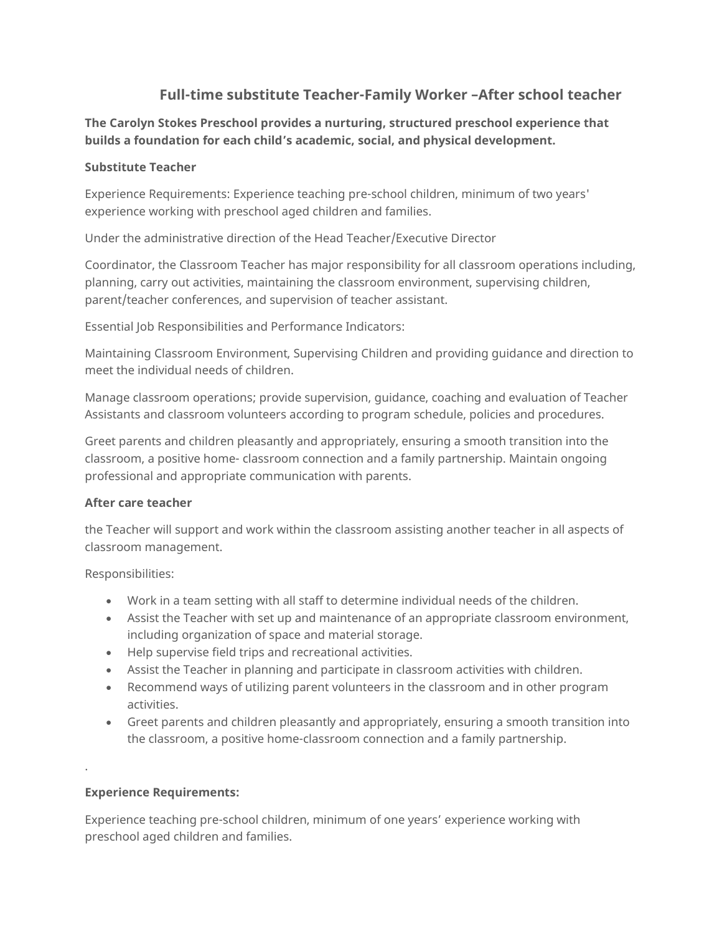# **Full-time substitute Teacher-Family Worker –After school teacher**

**The Carolyn Stokes Preschool provides a nurturing, structured preschool experience that builds a foundation for each child's academic, social, and physical development.**

## **Substitute Teacher**

Experience Requirements: Experience teaching pre-school children, minimum of two years' experience working with preschool aged children and families.

Under the administrative direction of the Head Teacher/Executive Director

Coordinator, the Classroom Teacher has major responsibility for all classroom operations including, planning, carry out activities, maintaining the classroom environment, supervising children, parent/teacher conferences, and supervision of teacher assistant.

Essential Job Responsibilities and Performance Indicators:

Maintaining Classroom Environment, Supervising Children and providing guidance and direction to meet the individual needs of children.

Manage classroom operations; provide supervision, guidance, coaching and evaluation of Teacher Assistants and classroom volunteers according to program schedule, policies and procedures.

Greet parents and children pleasantly and appropriately, ensuring a smooth transition into the classroom, a positive home- classroom connection and a family partnership. Maintain ongoing professional and appropriate communication with parents.

## **After care teacher**

the Teacher will support and work within the classroom assisting another teacher in all aspects of classroom management.

Responsibilities:

- Work in a team setting with all staff to determine individual needs of the children.
- Assist the Teacher with set up and maintenance of an appropriate classroom environment, including organization of space and material storage.
- Help supervise field trips and recreational activities.
- Assist the Teacher in planning and participate in classroom activities with children.
- Recommend ways of utilizing parent volunteers in the classroom and in other program activities.
- Greet parents and children pleasantly and appropriately, ensuring a smooth transition into the classroom, a positive home-classroom connection and a family partnership.

## **Experience Requirements:**

.

Experience teaching pre-school children, minimum of one years' experience working with preschool aged children and families.